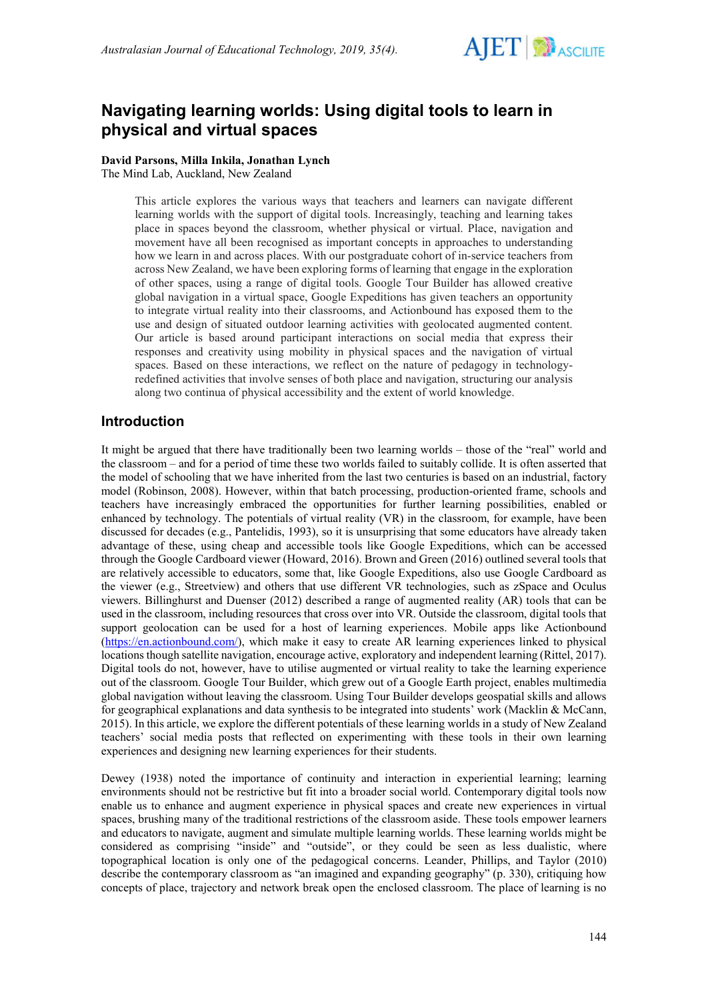

# **Navigating learning worlds: Using digital tools to learn in physical and virtual spaces**

**David Parsons, Milla Inkila, Jonathan Lynch** The Mind Lab, Auckland, New Zealand

> This article explores the various ways that teachers and learners can navigate different learning worlds with the support of digital tools. Increasingly, teaching and learning takes place in spaces beyond the classroom, whether physical or virtual. Place, navigation and movement have all been recognised as important concepts in approaches to understanding how we learn in and across places. With our postgraduate cohort of in-service teachers from across New Zealand, we have been exploring forms of learning that engage in the exploration of other spaces, using a range of digital tools. Google Tour Builder has allowed creative global navigation in a virtual space, Google Expeditions has given teachers an opportunity to integrate virtual reality into their classrooms, and Actionbound has exposed them to the use and design of situated outdoor learning activities with geolocated augmented content. Our article is based around participant interactions on social media that express their responses and creativity using mobility in physical spaces and the navigation of virtual spaces. Based on these interactions, we reflect on the nature of pedagogy in technologyredefined activities that involve senses of both place and navigation, structuring our analysis along two continua of physical accessibility and the extent of world knowledge.

## **Introduction**

It might be argued that there have traditionally been two learning worlds – those of the "real" world and the classroom – and for a period of time these two worlds failed to suitably collide. It is often asserted that the model of schooling that we have inherited from the last two centuries is based on an industrial, factory model (Robinson, 2008). However, within that batch processing, production-oriented frame, schools and teachers have increasingly embraced the opportunities for further learning possibilities, enabled or enhanced by technology. The potentials of virtual reality (VR) in the classroom, for example, have been discussed for decades (e.g., Pantelidis, 1993), so it is unsurprising that some educators have already taken advantage of these, using cheap and accessible tools like Google Expeditions, which can be accessed through the Google Cardboard viewer (Howard, 2016). Brown and Green (2016) outlined several tools that are relatively accessible to educators, some that, like Google Expeditions, also use Google Cardboard as the viewer (e.g., Streetview) and others that use different VR technologies, such as zSpace and Oculus viewers. Billinghurst and Duenser (2012) described a range of augmented reality (AR) tools that can be used in the classroom, including resources that cross over into VR. Outside the classroom, digital tools that support geolocation can be used for a host of learning experiences. Mobile apps like Actionbound [\(https://en.actionbound.com/\)](https://en.actionbound.com/), which make it easy to create AR learning experiences linked to physical locations though satellite navigation, encourage active, exploratory and independent learning (Rittel, 2017). Digital tools do not, however, have to utilise augmented or virtual reality to take the learning experience out of the classroom. Google Tour Builder, which grew out of a Google Earth project, enables multimedia global navigation without leaving the classroom. Using Tour Builder develops geospatial skills and allows for geographical explanations and data synthesis to be integrated into students' work (Macklin & McCann, 2015). In this article, we explore the different potentials of these learning worlds in a study of New Zealand teachers' social media posts that reflected on experimenting with these tools in their own learning experiences and designing new learning experiences for their students.

Dewey (1938) noted the importance of continuity and interaction in experiential learning; learning environments should not be restrictive but fit into a broader social world. Contemporary digital tools now enable us to enhance and augment experience in physical spaces and create new experiences in virtual spaces, brushing many of the traditional restrictions of the classroom aside. These tools empower learners and educators to navigate, augment and simulate multiple learning worlds. These learning worlds might be considered as comprising "inside" and "outside", or they could be seen as less dualistic, where topographical location is only one of the pedagogical concerns. Leander, Phillips, and Taylor (2010) describe the contemporary classroom as "an imagined and expanding geography" (p. 330), critiquing how concepts of place, trajectory and network break open the enclosed classroom. The place of learning is no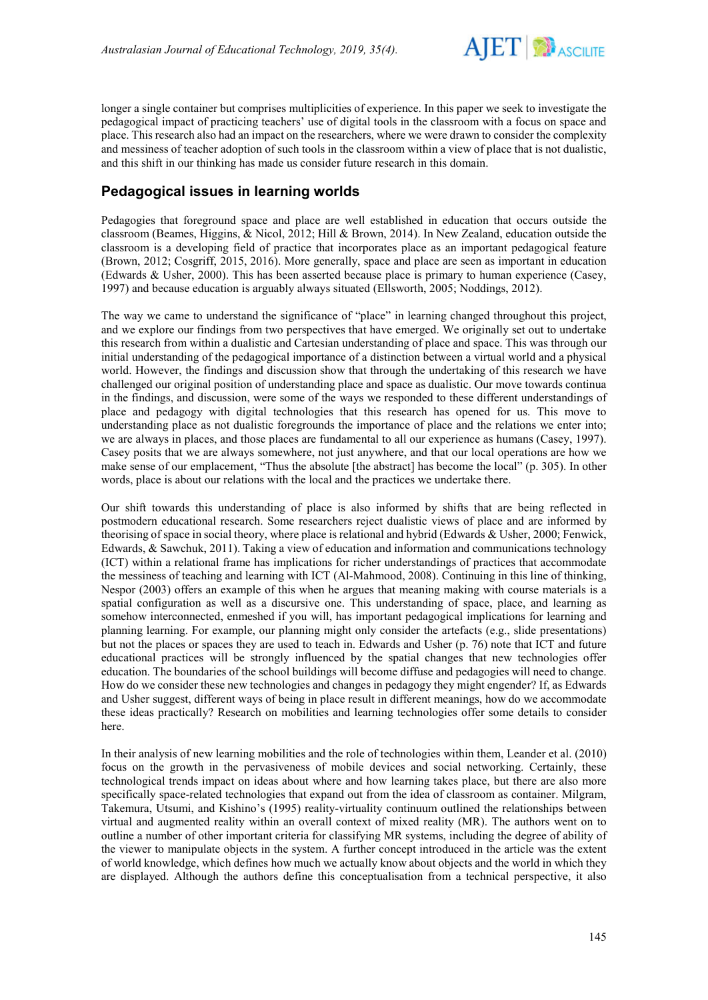

longer a single container but comprises multiplicities of experience. In this paper we seek to investigate the pedagogical impact of practicing teachers' use of digital tools in the classroom with a focus on space and place. This research also had an impact on the researchers, where we were drawn to consider the complexity and messiness of teacher adoption of such tools in the classroom within a view of place that is not dualistic, and this shift in our thinking has made us consider future research in this domain.

# **Pedagogical issues in learning worlds**

Pedagogies that foreground space and place are well established in education that occurs outside the classroom (Beames, Higgins, & Nicol, 2012; Hill & Brown, 2014). In New Zealand, education outside the classroom is a developing field of practice that incorporates place as an important pedagogical feature (Brown, 2012; Cosgriff, 2015, 2016). More generally, space and place are seen as important in education (Edwards & Usher, 2000). This has been asserted because place is primary to human experience (Casey, 1997) and because education is arguably always situated (Ellsworth, 2005; Noddings, 2012).

The way we came to understand the significance of "place" in learning changed throughout this project, and we explore our findings from two perspectives that have emerged. We originally set out to undertake this research from within a dualistic and Cartesian understanding of place and space. This was through our initial understanding of the pedagogical importance of a distinction between a virtual world and a physical world. However, the findings and discussion show that through the undertaking of this research we have challenged our original position of understanding place and space as dualistic. Our move towards continua in the findings, and discussion, were some of the ways we responded to these different understandings of place and pedagogy with digital technologies that this research has opened for us. This move to understanding place as not dualistic foregrounds the importance of place and the relations we enter into; we are always in places, and those places are fundamental to all our experience as humans (Casey, 1997). Casey posits that we are always somewhere, not just anywhere, and that our local operations are how we make sense of our emplacement, "Thus the absolute [the abstract] has become the local" (p. 305). In other words, place is about our relations with the local and the practices we undertake there.

Our shift towards this understanding of place is also informed by shifts that are being reflected in postmodern educational research. Some researchers reject dualistic views of place and are informed by theorising of space in social theory, where place is relational and hybrid (Edwards & Usher, 2000; Fenwick, Edwards, & Sawchuk, 2011). Taking a view of education and information and communications technology (ICT) within a relational frame has implications for richer understandings of practices that accommodate the messiness of teaching and learning with ICT (Al-Mahmood, 2008). Continuing in this line of thinking, Nespor (2003) offers an example of this when he argues that meaning making with course materials is a spatial configuration as well as a discursive one. This understanding of space, place, and learning as somehow interconnected, enmeshed if you will, has important pedagogical implications for learning and planning learning. For example, our planning might only consider the artefacts (e.g., slide presentations) but not the places or spaces they are used to teach in. Edwards and Usher (p. 76) note that ICT and future educational practices will be strongly influenced by the spatial changes that new technologies offer education. The boundaries of the school buildings will become diffuse and pedagogies will need to change. How do we consider these new technologies and changes in pedagogy they might engender? If, as Edwards and Usher suggest, different ways of being in place result in different meanings, how do we accommodate these ideas practically? Research on mobilities and learning technologies offer some details to consider here.

In their analysis of new learning mobilities and the role of technologies within them, Leander et al. (2010) focus on the growth in the pervasiveness of mobile devices and social networking. Certainly, these technological trends impact on ideas about where and how learning takes place, but there are also more specifically space-related technologies that expand out from the idea of classroom as container. Milgram, Takemura, Utsumi, and Kishino's (1995) reality-virtuality continuum outlined the relationships between virtual and augmented reality within an overall context of mixed reality (MR). The authors went on to outline a number of other important criteria for classifying MR systems, including the degree of ability of the viewer to manipulate objects in the system. A further concept introduced in the article was the extent of world knowledge, which defines how much we actually know about objects and the world in which they are displayed. Although the authors define this conceptualisation from a technical perspective, it also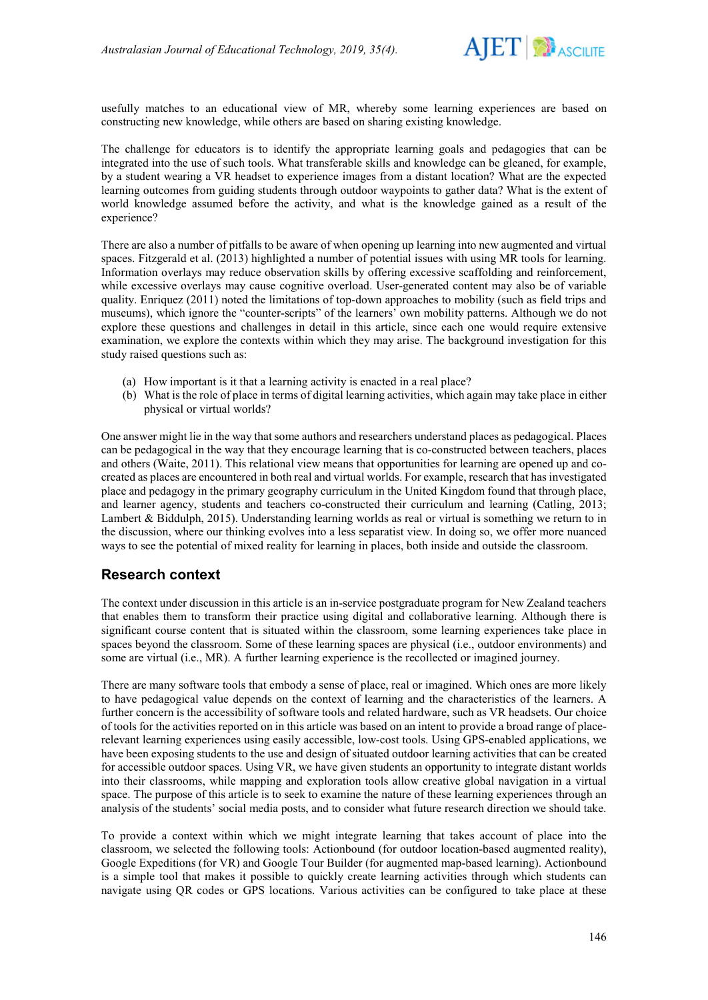

usefully matches to an educational view of MR, whereby some learning experiences are based on constructing new knowledge, while others are based on sharing existing knowledge.

The challenge for educators is to identify the appropriate learning goals and pedagogies that can be integrated into the use of such tools. What transferable skills and knowledge can be gleaned, for example, by a student wearing a VR headset to experience images from a distant location? What are the expected learning outcomes from guiding students through outdoor waypoints to gather data? What is the extent of world knowledge assumed before the activity, and what is the knowledge gained as a result of the experience?

There are also a number of pitfalls to be aware of when opening up learning into new augmented and virtual spaces. Fitzgerald et al. (2013) highlighted a number of potential issues with using MR tools for learning. Information overlays may reduce observation skills by offering excessive scaffolding and reinforcement, while excessive overlays may cause cognitive overload. User-generated content may also be of variable quality. Enriquez (2011) noted the limitations of top‐down approaches to mobility (such as field trips and museums), which ignore the "counter‐scripts" of the learners' own mobility patterns. Although we do not explore these questions and challenges in detail in this article, since each one would require extensive examination, we explore the contexts within which they may arise. The background investigation for this study raised questions such as:

- (a) How important is it that a learning activity is enacted in a real place?
- (b) What is the role of place in terms of digital learning activities, which again may take place in either physical or virtual worlds?

One answer might lie in the way that some authors and researchers understand places as pedagogical. Places can be pedagogical in the way that they encourage learning that is co-constructed between teachers, places and others (Waite, 2011). This relational view means that opportunities for learning are opened up and cocreated as places are encountered in both real and virtual worlds. For example, research that has investigated place and pedagogy in the primary geography curriculum in the United Kingdom found that through place, and learner agency, students and teachers co-constructed their curriculum and learning (Catling, 2013; Lambert & Biddulph, 2015). Understanding learning worlds as real or virtual is something we return to in the discussion, where our thinking evolves into a less separatist view. In doing so, we offer more nuanced ways to see the potential of mixed reality for learning in places, both inside and outside the classroom.

## **Research context**

The context under discussion in this article is an in-service postgraduate program for New Zealand teachers that enables them to transform their practice using digital and collaborative learning. Although there is significant course content that is situated within the classroom, some learning experiences take place in spaces beyond the classroom. Some of these learning spaces are physical (i.e., outdoor environments) and some are virtual (i.e., MR). A further learning experience is the recollected or imagined journey.

There are many software tools that embody a sense of place, real or imagined. Which ones are more likely to have pedagogical value depends on the context of learning and the characteristics of the learners. A further concern is the accessibility of software tools and related hardware, such as VR headsets. Our choice of tools for the activities reported on in this article was based on an intent to provide a broad range of placerelevant learning experiences using easily accessible, low-cost tools. Using GPS-enabled applications, we have been exposing students to the use and design of situated outdoor learning activities that can be created for accessible outdoor spaces. Using VR, we have given students an opportunity to integrate distant worlds into their classrooms, while mapping and exploration tools allow creative global navigation in a virtual space. The purpose of this article is to seek to examine the nature of these learning experiences through an analysis of the students' social media posts, and to consider what future research direction we should take.

To provide a context within which we might integrate learning that takes account of place into the classroom, we selected the following tools: Actionbound (for outdoor location-based augmented reality), Google Expeditions (for VR) and Google Tour Builder (for augmented map-based learning). Actionbound is a simple tool that makes it possible to quickly create learning activities through which students can navigate using QR codes or GPS locations. Various activities can be configured to take place at these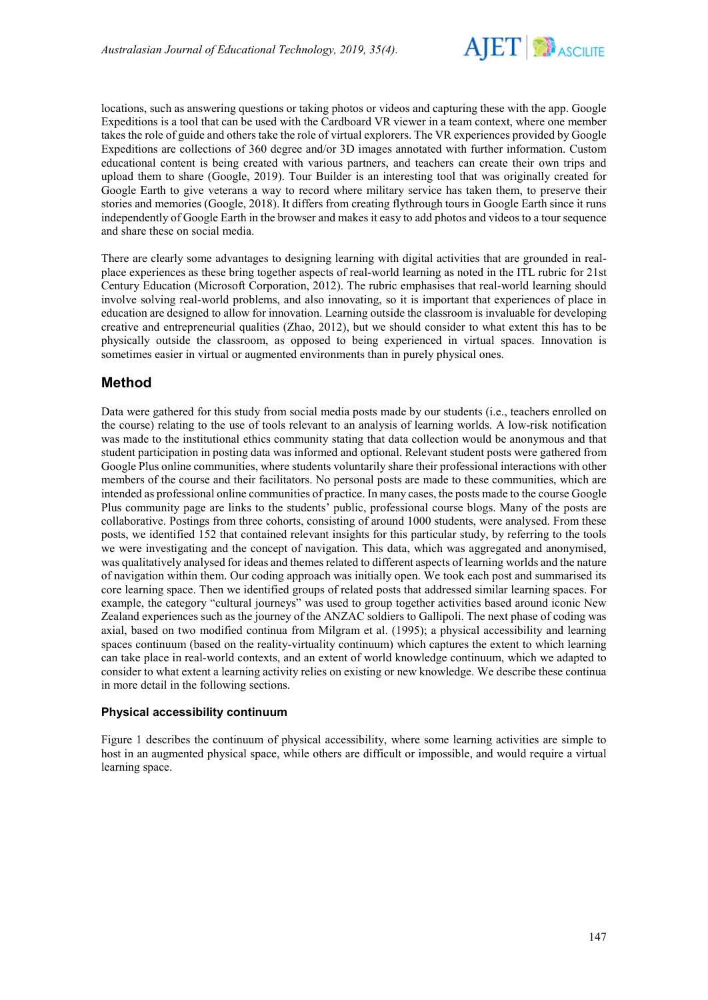

locations, such as answering questions or taking photos or videos and capturing these with the app. Google Expeditions is a tool that can be used with the Cardboard VR viewer in a team context, where one member takes the role of guide and others take the role of virtual explorers. The VR experiences provided by Google Expeditions are collections of 360 degree and/or 3D images annotated with further information. Custom educational content is being created with various partners, and teachers can create their own trips and upload them to share (Google, 2019). Tour Builder is an interesting tool that was originally created for Google Earth to give veterans a way to record where military service has taken them, to preserve their stories and memories (Google, 2018). It differs from creating flythrough tours in Google Earth since it runs independently of Google Earth in the browser and makes it easy to add photos and videos to a tour sequence and share these on social media.

There are clearly some advantages to designing learning with digital activities that are grounded in realplace experiences as these bring together aspects of real-world learning as noted in the ITL rubric for 21st Century Education (Microsoft Corporation, 2012). The rubric emphasises that real-world learning should involve solving real-world problems, and also innovating, so it is important that experiences of place in education are designed to allow for innovation. Learning outside the classroom is invaluable for developing creative and entrepreneurial qualities (Zhao, 2012), but we should consider to what extent this has to be physically outside the classroom, as opposed to being experienced in virtual spaces. Innovation is sometimes easier in virtual or augmented environments than in purely physical ones.

## **Method**

Data were gathered for this study from social media posts made by our students (i.e., teachers enrolled on the course) relating to the use of tools relevant to an analysis of learning worlds. A low-risk notification was made to the institutional ethics community stating that data collection would be anonymous and that student participation in posting data was informed and optional. Relevant student posts were gathered from Google Plus online communities, where students voluntarily share their professional interactions with other members of the course and their facilitators. No personal posts are made to these communities, which are intended as professional online communities of practice. In many cases, the posts made to the course Google Plus community page are links to the students' public, professional course blogs. Many of the posts are collaborative. Postings from three cohorts, consisting of around 1000 students, were analysed. From these posts, we identified 152 that contained relevant insights for this particular study, by referring to the tools we were investigating and the concept of navigation. This data, which was aggregated and anonymised, was qualitatively analysed for ideas and themes related to different aspects of learning worlds and the nature of navigation within them. Our coding approach was initially open. We took each post and summarised its core learning space. Then we identified groups of related posts that addressed similar learning spaces. For example, the category "cultural journeys" was used to group together activities based around iconic New Zealand experiences such as the journey of the ANZAC soldiers to Gallipoli. The next phase of coding was axial, based on two modified continua from Milgram et al. (1995); a physical accessibility and learning spaces continuum (based on the reality-virtuality continuum) which captures the extent to which learning can take place in real-world contexts, and an extent of world knowledge continuum, which we adapted to consider to what extent a learning activity relies on existing or new knowledge. We describe these continua in more detail in the following sections.

### **Physical accessibility continuum**

Figure 1 describes the continuum of physical accessibility, where some learning activities are simple to host in an augmented physical space, while others are difficult or impossible, and would require a virtual learning space.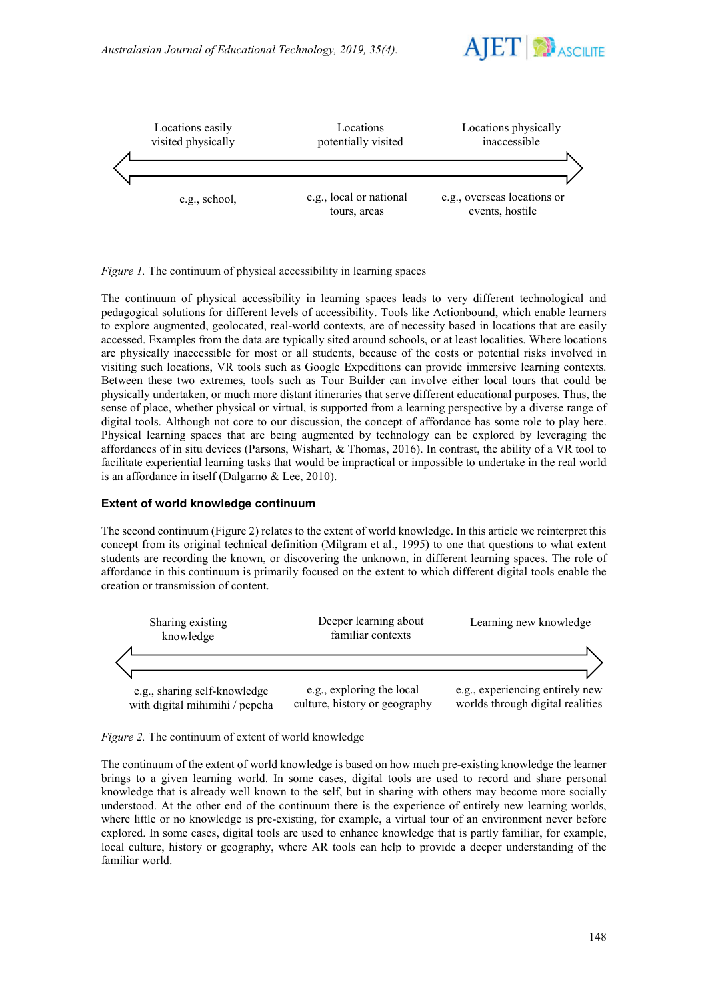



*Figure 1.* The continuum of physical accessibility in learning spaces

The continuum of physical accessibility in learning spaces leads to very different technological and pedagogical solutions for different levels of accessibility. Tools like Actionbound, which enable learners to explore augmented, geolocated, real-world contexts, are of necessity based in locations that are easily accessed. Examples from the data are typically sited around schools, or at least localities. Where locations are physically inaccessible for most or all students, because of the costs or potential risks involved in visiting such locations, VR tools such as Google Expeditions can provide immersive learning contexts. Between these two extremes, tools such as Tour Builder can involve either local tours that could be physically undertaken, or much more distant itineraries that serve different educational purposes. Thus, the sense of place, whether physical or virtual, is supported from a learning perspective by a diverse range of digital tools. Although not core to our discussion, the concept of affordance has some role to play here. Physical learning spaces that are being augmented by technology can be explored by leveraging the affordances of in situ devices (Parsons, Wishart, & Thomas, 2016). In contrast, the ability of a VR tool to facilitate experiential learning tasks that would be impractical or impossible to undertake in the real world is an affordance in itself (Dalgarno & Lee, 2010).

### **Extent of world knowledge continuum**

The second continuum (Figure 2) relates to the extent of world knowledge. In this article we reinterpret this concept from its original technical definition (Milgram et al., 1995) to one that questions to what extent students are recording the known, or discovering the unknown, in different learning spaces. The role of affordance in this continuum is primarily focused on the extent to which different digital tools enable the creation or transmission of content.



*Figure 2.* The continuum of extent of world knowledge

The continuum of the extent of world knowledge is based on how much pre-existing knowledge the learner brings to a given learning world. In some cases, digital tools are used to record and share personal knowledge that is already well known to the self, but in sharing with others may become more socially understood. At the other end of the continuum there is the experience of entirely new learning worlds, where little or no knowledge is pre-existing, for example, a virtual tour of an environment never before explored. In some cases, digital tools are used to enhance knowledge that is partly familiar, for example, local culture, history or geography, where AR tools can help to provide a deeper understanding of the familiar world.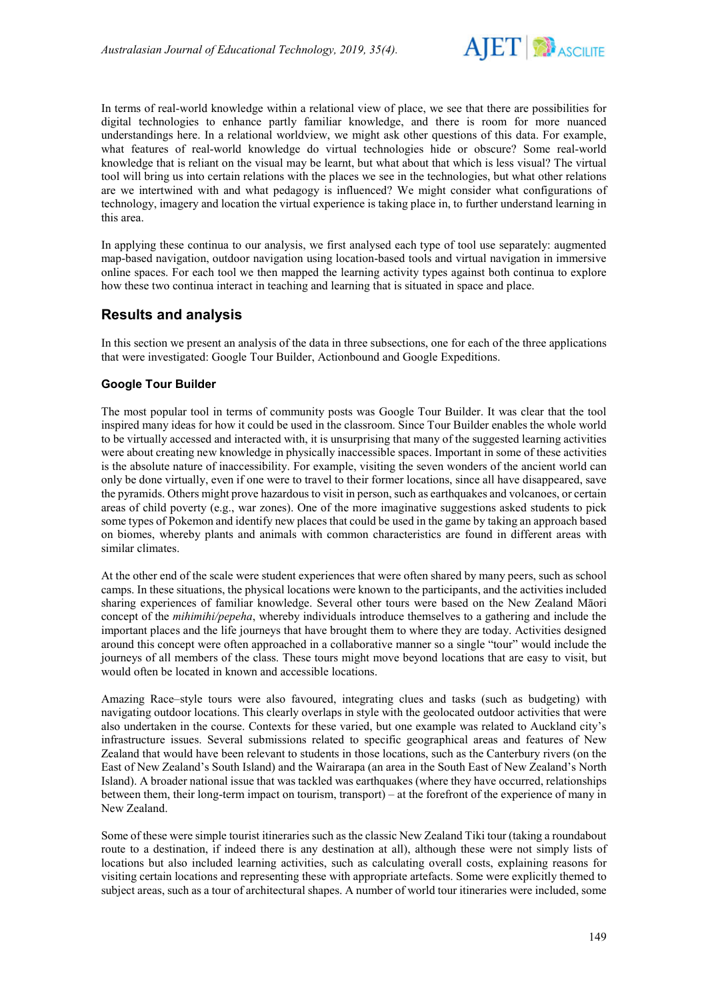

In terms of real-world knowledge within a relational view of place, we see that there are possibilities for digital technologies to enhance partly familiar knowledge, and there is room for more nuanced understandings here. In a relational worldview, we might ask other questions of this data. For example, what features of real-world knowledge do virtual technologies hide or obscure? Some real-world knowledge that is reliant on the visual may be learnt, but what about that which is less visual? The virtual tool will bring us into certain relations with the places we see in the technologies, but what other relations are we intertwined with and what pedagogy is influenced? We might consider what configurations of technology, imagery and location the virtual experience is taking place in, to further understand learning in this area.

In applying these continua to our analysis, we first analysed each type of tool use separately: augmented map-based navigation, outdoor navigation using location-based tools and virtual navigation in immersive online spaces. For each tool we then mapped the learning activity types against both continua to explore how these two continua interact in teaching and learning that is situated in space and place.

## **Results and analysis**

In this section we present an analysis of the data in three subsections, one for each of the three applications that were investigated: Google Tour Builder, Actionbound and Google Expeditions.

### **Google Tour Builder**

The most popular tool in terms of community posts was Google Tour Builder. It was clear that the tool inspired many ideas for how it could be used in the classroom. Since Tour Builder enables the whole world to be virtually accessed and interacted with, it is unsurprising that many of the suggested learning activities were about creating new knowledge in physically inaccessible spaces. Important in some of these activities is the absolute nature of inaccessibility. For example, visiting the seven wonders of the ancient world can only be done virtually, even if one were to travel to their former locations, since all have disappeared, save the pyramids. Others might prove hazardous to visit in person, such as earthquakes and volcanoes, or certain areas of child poverty (e.g., war zones). One of the more imaginative suggestions asked students to pick some types of Pokemon and identify new places that could be used in the game by taking an approach based on biomes, whereby plants and animals with common characteristics are found in different areas with similar climates.

At the other end of the scale were student experiences that were often shared by many peers, such as school camps. In these situations, the physical locations were known to the participants, and the activities included sharing experiences of familiar knowledge. Several other tours were based on the New Zealand Māori concept of the *mihimihi/pepeha*, whereby individuals introduce themselves to a gathering and include the important places and the life journeys that have brought them to where they are today. Activities designed around this concept were often approached in a collaborative manner so a single "tour" would include the journeys of all members of the class. These tours might move beyond locations that are easy to visit, but would often be located in known and accessible locations.

Amazing Race–style tours were also favoured, integrating clues and tasks (such as budgeting) with navigating outdoor locations. This clearly overlaps in style with the geolocated outdoor activities that were also undertaken in the course. Contexts for these varied, but one example was related to Auckland city's infrastructure issues. Several submissions related to specific geographical areas and features of New Zealand that would have been relevant to students in those locations, such as the Canterbury rivers (on the East of New Zealand's South Island) and the Wairarapa (an area in the South East of New Zealand's North Island). A broader national issue that was tackled was earthquakes (where they have occurred, relationships between them, their long-term impact on tourism, transport) – at the forefront of the experience of many in New Zealand.

Some of these were simple tourist itineraries such as the classic New Zealand Tiki tour (taking a roundabout route to a destination, if indeed there is any destination at all), although these were not simply lists of locations but also included learning activities, such as calculating overall costs, explaining reasons for visiting certain locations and representing these with appropriate artefacts. Some were explicitly themed to subject areas, such as a tour of architectural shapes. A number of world tour itineraries were included, some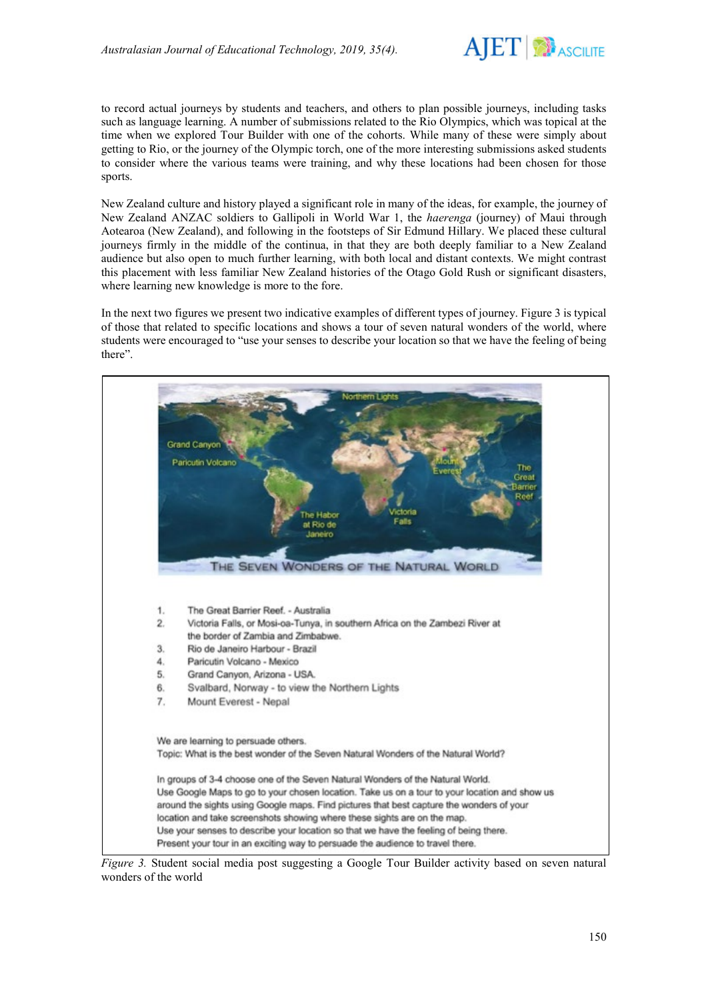

to record actual journeys by students and teachers, and others to plan possible journeys, including tasks such as language learning. A number of submissions related to the Rio Olympics, which was topical at the time when we explored Tour Builder with one of the cohorts. While many of these were simply about getting to Rio, or the journey of the Olympic torch, one of the more interesting submissions asked students to consider where the various teams were training, and why these locations had been chosen for those sports.

New Zealand culture and history played a significant role in many of the ideas, for example, the journey of New Zealand ANZAC soldiers to Gallipoli in World War 1, the *haerenga* (journey) of Maui through Aotearoa (New Zealand), and following in the footsteps of Sir Edmund Hillary. We placed these cultural journeys firmly in the middle of the continua, in that they are both deeply familiar to a New Zealand audience but also open to much further learning, with both local and distant contexts. We might contrast this placement with less familiar New Zealand histories of the Otago Gold Rush or significant disasters, where learning new knowledge is more to the fore.

In the next two figures we present two indicative examples of different types of journey. Figure 3 is typical of those that related to specific locations and shows a tour of seven natural wonders of the world, where students were encouraged to "use your senses to describe your location so that we have the feeling of being there".



*Figure 3.* Student social media post suggesting a Google Tour Builder activity based on seven natural wonders of the world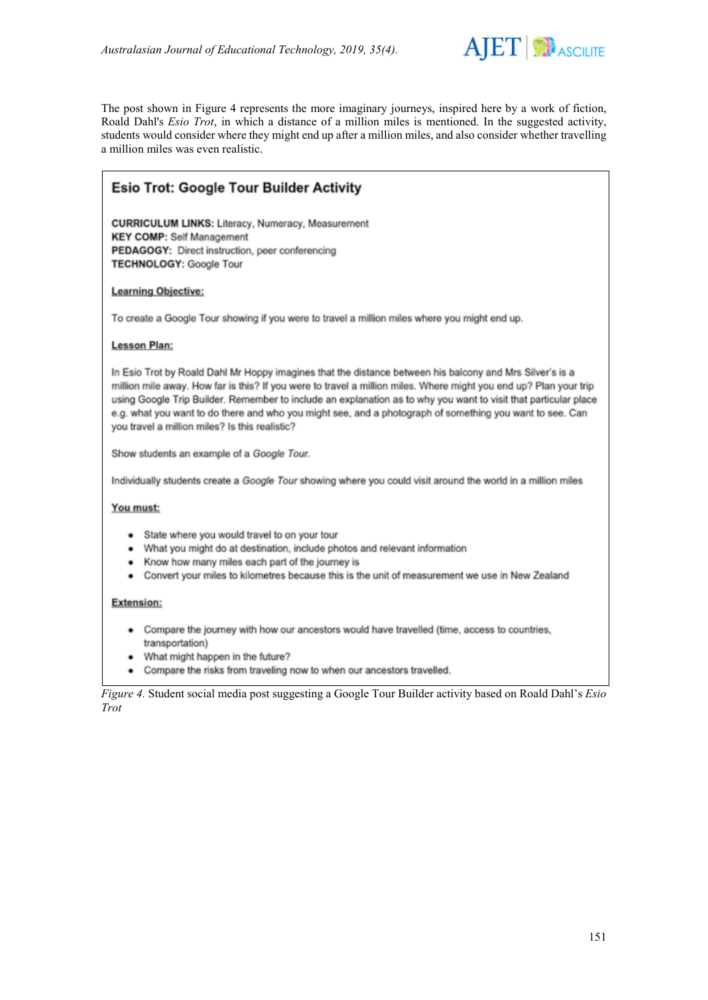

The post shown in Figure 4 represents the more imaginary journeys, inspired here by a work of fiction, Roald Dahl's *Esio Trot*, in which a distance of a million miles is mentioned. In the suggested activity, students would consider where they might end up after a million miles, and also consider whether travelling a million miles was even realistic.

# **Esio Trot: Google Tour Builder Activity**

**CURRICULUM LINKS: Literacy, Numeracy, Measurement KEY COMP: Self Management** PEDAGOGY: Direct instruction, peer conferencing **TECHNOLOGY: Google Tour** 

### **Learning Objective:**

To create a Google Tour showing if you were to travel a million miles where you might end up.

#### **Lesson Plan:**

In Esio Trot by Roald Dahl Mr Hoppy imagines that the distance between his balcony and Mrs Silver's is a million mile away. How far is this? If you were to travel a million miles. Where might you end up? Plan your trip using Google Trip Builder. Remember to include an explanation as to why you want to visit that particular place e.g. what you want to do there and who you might see, and a photograph of something you want to see. Can you travel a million miles? Is this realistic?

Show students an example of a Google Tour.

Individually students create a Google Tour showing where you could visit around the world in a million miles

#### You must:

- State where you would travel to on your tour
- What you might do at destination, include photos and relevant information
- Know how many miles each part of the journey is
- Convert your miles to kilometres because this is the unit of measurement we use in New Zealand

#### **Extension:**

- Compare the journey with how our ancestors would have travelled (time, access to countries, transportation)
- What might happen in the future?
- Compare the risks from traveling now to when our ancestors travelled.

*Figure 4.* Student social media post suggesting a Google Tour Builder activity based on Roald Dahl's *Esio Trot*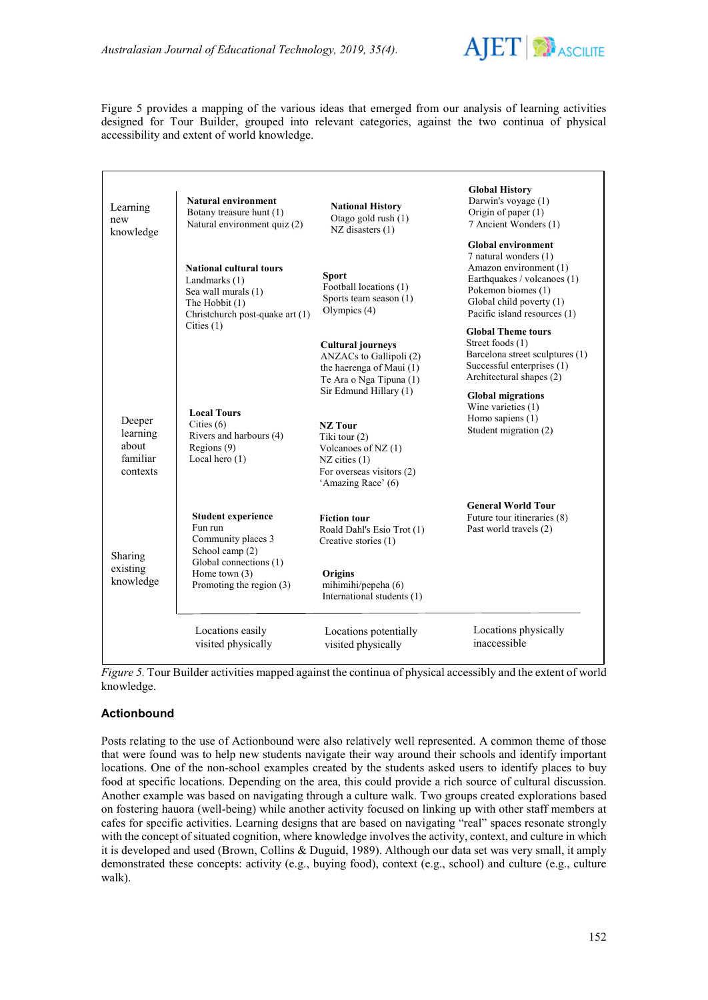

Figure 5 provides a mapping of the various ideas that emerged from our analysis of learning activities designed for Tour Builder, grouped into relevant categories, against the two continua of physical accessibility and extent of world knowledge.

| Learning<br>new<br>knowledge                        | <b>Natural environment</b><br>Botany treasure hunt (1)<br>Natural environment quiz (2)                                                                 | <b>National History</b><br>Otago gold rush (1)<br>$NZ$ disasters $(1)$                                                                                     | <b>Global History</b><br>Darwin's voyage (1)<br>Origin of paper (1)<br>7 Ancient Wonders (1)                                                                                                  |
|-----------------------------------------------------|--------------------------------------------------------------------------------------------------------------------------------------------------------|------------------------------------------------------------------------------------------------------------------------------------------------------------|-----------------------------------------------------------------------------------------------------------------------------------------------------------------------------------------------|
|                                                     | <b>National cultural tours</b><br>Landmarks (1)<br>Sea wall murals (1)<br>The Hobbit (1)<br>Christchurch post-quake art (1)                            | <b>Sport</b><br>Football locations (1)<br>Sports team season (1)<br>Olympics (4)                                                                           | <b>Global environment</b><br>7 natural wonders (1)<br>Amazon environment (1)<br>Earthquakes / volcanoes (1)<br>Pokemon biomes (1)<br>Global child poverty (1)<br>Pacific island resources (1) |
|                                                     | Cities $(1)$                                                                                                                                           | <b>Cultural journeys</b><br>ANZACs to Gallipoli (2)<br>the haerenga of Maui (1)<br>Te Ara o Nga Tipuna (1)                                                 | <b>Global Theme tours</b><br>Street foods (1)<br>Barcelona street sculptures (1)<br>Successful enterprises (1)<br>Architectural shapes (2)                                                    |
| Deeper<br>learning<br>about<br>familiar<br>contexts | <b>Local Tours</b><br>Cities $(6)$<br>Rivers and harbours (4)<br>Regions (9)<br>Local hero $(1)$                                                       | Sir Edmund Hillary (1)<br><b>NZ</b> Tour<br>Tiki tour (2)<br>Volcanoes of NZ $(1)$<br>$NZ$ cities $(1)$<br>For overseas visitors (2)<br>'Amazing Race' (6) | <b>Global migrations</b><br>Wine varieties (1)<br>Homo sapiens $(1)$<br>Student migration (2)                                                                                                 |
| Sharing<br>existing<br>knowledge                    | <b>Student experience</b><br>Fun run<br>Community places 3<br>School camp (2)<br>Global connections (1)<br>Home town $(3)$<br>Promoting the region (3) | <b>Fiction tour</b><br>Roald Dahl's Esio Trot (1)<br>Creative stories (1)<br><b>Origins</b><br>mihimihi/pepeha (6)<br>International students (1)           | <b>General World Tour</b><br>Future tour itineraries (8)<br>Past world travels (2)                                                                                                            |
|                                                     | Locations easily<br>visited physically                                                                                                                 | Locations potentially<br>visited physically                                                                                                                | Locations physically<br>inaccessible                                                                                                                                                          |

*Figure 5.* Tour Builder activities mapped against the continua of physical accessibly and the extent of world knowledge.

### **Actionbound**

Posts relating to the use of Actionbound were also relatively well represented. A common theme of those that were found was to help new students navigate their way around their schools and identify important locations. One of the non-school examples created by the students asked users to identify places to buy food at specific locations. Depending on the area, this could provide a rich source of cultural discussion. Another example was based on navigating through a culture walk. Two groups created explorations based on fostering hauora (well-being) while another activity focused on linking up with other staff members at cafes for specific activities. Learning designs that are based on navigating "real" spaces resonate strongly with the concept of situated cognition, where knowledge involves the activity, context, and culture in which it is developed and used (Brown, Collins & Duguid, 1989). Although our data set was very small, it amply demonstrated these concepts: activity (e.g., buying food), context (e.g., school) and culture (e.g., culture walk).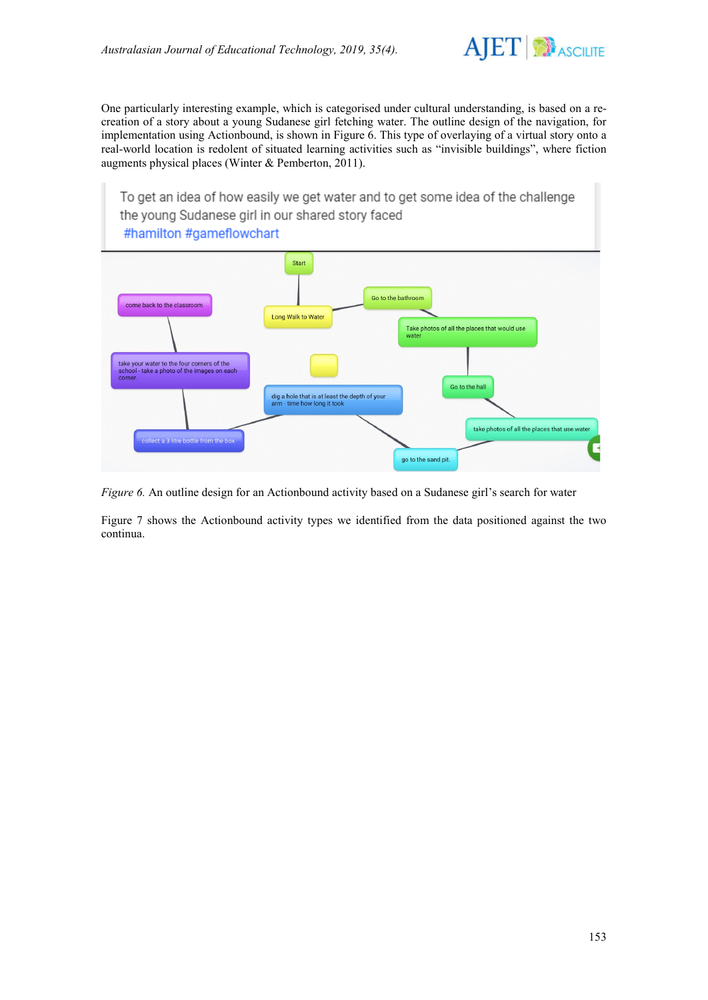

One particularly interesting example, which is categorised under cultural understanding, is based on a recreation of a story about a young Sudanese girl fetching water. The outline design of the navigation, for implementation using Actionbound, is shown in Figure 6. This type of overlaying of a virtual story onto a real-world location is redolent of situated learning activities such as "invisible buildings", where fiction augments physical places (Winter & Pemberton, 2011).

To get an idea of how easily we get water and to get some idea of the challenge the young Sudanese girl in our shared story faced #hamilton #gameflowchart



*Figure 6.* An outline design for an Actionbound activity based on a Sudanese girl's search for water

Figure 7 shows the Actionbound activity types we identified from the data positioned against the two continua.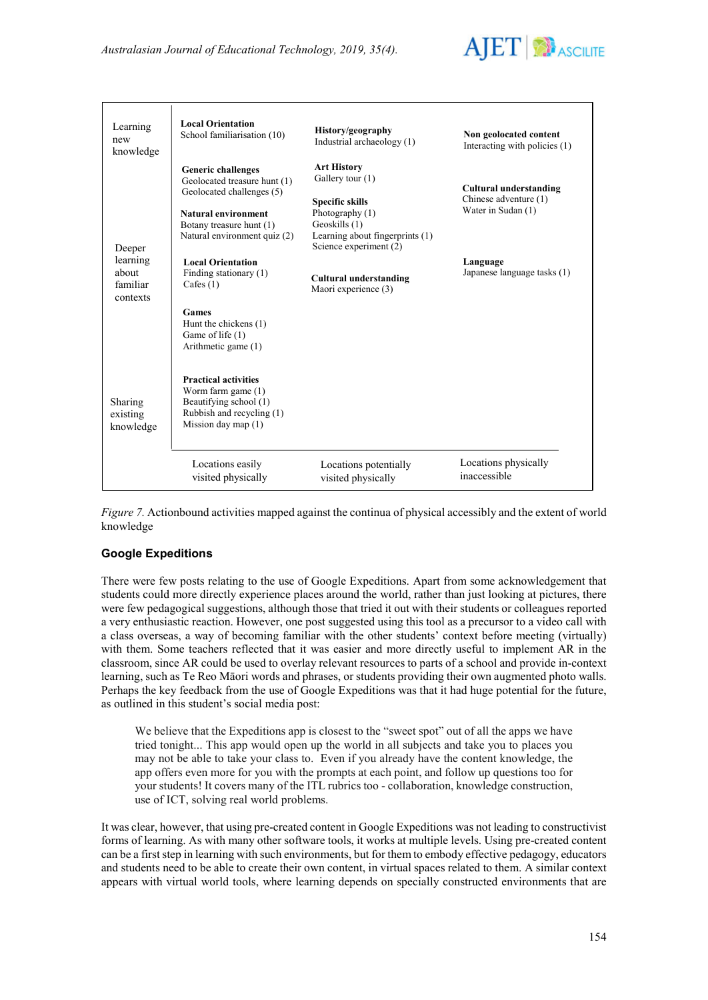

| Learning<br>new<br>knowledge              | <b>Local Orientation</b><br>School familiarisation (10)                                                                                                                          | History/geography<br>Industrial archaeology (1)                                                                                                                   | Non geolocated content<br>Interacting with policies (1)                      |
|-------------------------------------------|----------------------------------------------------------------------------------------------------------------------------------------------------------------------------------|-------------------------------------------------------------------------------------------------------------------------------------------------------------------|------------------------------------------------------------------------------|
| Deeper                                    | <b>Generic challenges</b><br>Geolocated treasure hunt (1)<br>Geolocated challenges (5)<br><b>Natural environment</b><br>Botany treasure hunt (1)<br>Natural environment quiz (2) | <b>Art History</b><br>Gallery tour (1)<br><b>Specific skills</b><br>Photography (1)<br>Geoskills (1)<br>Learning about fingerprints (1)<br>Science experiment (2) | <b>Cultural understanding</b><br>Chinese adventure (1)<br>Water in Sudan (1) |
| learning<br>about<br>familiar<br>contexts | <b>Local Orientation</b><br>Finding stationary (1)<br>Cafes $(1)$<br>Games<br>Hunt the chickens (1)<br>Game of life (1)<br>Arithmetic game (1)                                   | <b>Cultural understanding</b><br>Maori experience (3)                                                                                                             | Language<br>Japanese language tasks (1)                                      |
| Sharing<br>existing<br>knowledge          | <b>Practical activities</b><br>Worm farm game (1)<br>Beautifying school (1)<br>Rubbish and recycling (1)<br>Mission day map $(1)$                                                |                                                                                                                                                                   |                                                                              |
|                                           | Locations easily<br>visited physically                                                                                                                                           | Locations potentially<br>visited physically                                                                                                                       | Locations physically<br>inaccessible                                         |

*Figure 7.* Actionbound activities mapped against the continua of physical accessibly and the extent of world knowledge

## **Google Expeditions**

There were few posts relating to the use of Google Expeditions. Apart from some acknowledgement that students could more directly experience places around the world, rather than just looking at pictures, there were few pedagogical suggestions, although those that tried it out with their students or colleagues reported a very enthusiastic reaction. However, one post suggested using this tool as a precursor to a video call with a class overseas, a way of becoming familiar with the other students' context before meeting (virtually) with them. Some teachers reflected that it was easier and more directly useful to implement AR in the classroom, since AR could be used to overlay relevant resources to parts of a school and provide in-context learning, such as Te Reo Māori words and phrases, or students providing their own augmented photo walls. Perhaps the key feedback from the use of Google Expeditions was that it had huge potential for the future, as outlined in this student's social media post:

We believe that the Expeditions app is closest to the "sweet spot" out of all the apps we have tried tonight... This app would open up the world in all subjects and take you to places you may not be able to take your class to. Even if you already have the content knowledge, the app offers even more for you with the prompts at each point, and follow up questions too for your students! It covers many of the ITL rubrics too - collaboration, knowledge construction, use of ICT, solving real world problems.

It was clear, however, that using pre-created content in Google Expeditions was not leading to constructivist forms of learning. As with many other software tools, it works at multiple levels. Using pre-created content can be a first step in learning with such environments, but for them to embody effective pedagogy, educators and students need to be able to create their own content, in virtual spaces related to them. A similar context appears with virtual world tools, where learning depends on specially constructed environments that are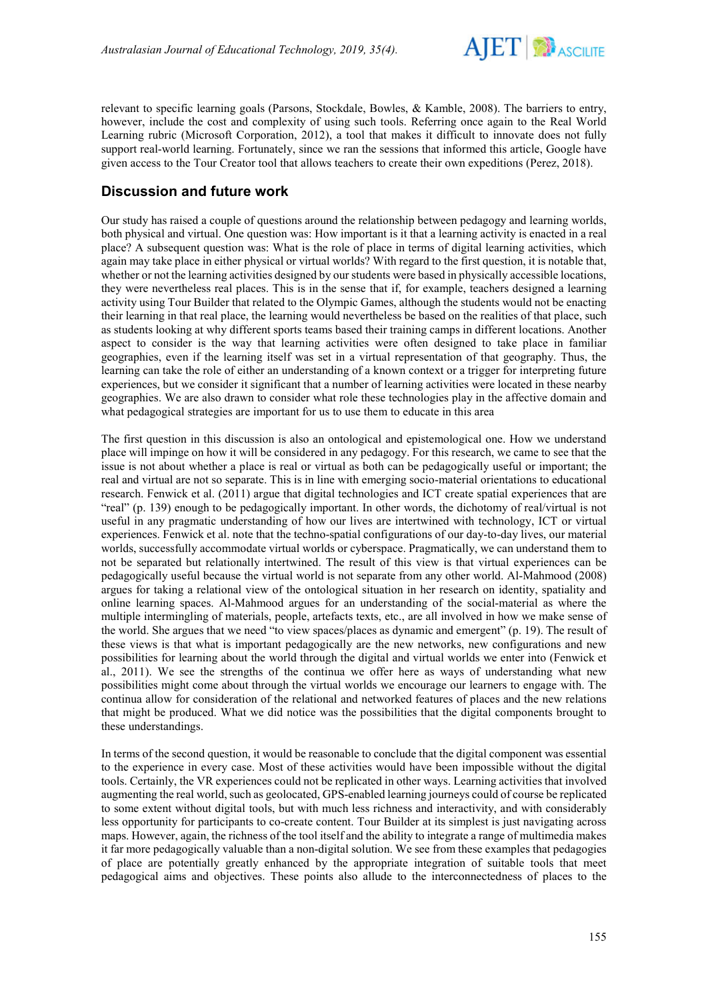

relevant to specific learning goals (Parsons, Stockdale, Bowles, & Kamble, 2008). The barriers to entry, however, include the cost and complexity of using such tools. Referring once again to the Real World Learning rubric (Microsoft Corporation, 2012), a tool that makes it difficult to innovate does not fully support real-world learning. Fortunately, since we ran the sessions that informed this article, Google have given access to the Tour Creator tool that allows teachers to create their own expeditions (Perez, 2018).

# **Discussion and future work**

Our study has raised a couple of questions around the relationship between pedagogy and learning worlds, both physical and virtual. One question was: How important is it that a learning activity is enacted in a real place? A subsequent question was: What is the role of place in terms of digital learning activities, which again may take place in either physical or virtual worlds? With regard to the first question, it is notable that, whether or not the learning activities designed by our students were based in physically accessible locations, they were nevertheless real places. This is in the sense that if, for example, teachers designed a learning activity using Tour Builder that related to the Olympic Games, although the students would not be enacting their learning in that real place, the learning would nevertheless be based on the realities of that place, such as students looking at why different sports teams based their training camps in different locations. Another aspect to consider is the way that learning activities were often designed to take place in familiar geographies, even if the learning itself was set in a virtual representation of that geography. Thus, the learning can take the role of either an understanding of a known context or a trigger for interpreting future experiences, but we consider it significant that a number of learning activities were located in these nearby geographies. We are also drawn to consider what role these technologies play in the affective domain and what pedagogical strategies are important for us to use them to educate in this area

The first question in this discussion is also an ontological and epistemological one. How we understand place will impinge on how it will be considered in any pedagogy. For this research, we came to see that the issue is not about whether a place is real or virtual as both can be pedagogically useful or important; the real and virtual are not so separate. This is in line with emerging socio-material orientations to educational research. Fenwick et al. (2011) argue that digital technologies and ICT create spatial experiences that are "real" (p. 139) enough to be pedagogically important. In other words, the dichotomy of real/virtual is not useful in any pragmatic understanding of how our lives are intertwined with technology, ICT or virtual experiences. Fenwick et al. note that the techno-spatial configurations of our day-to-day lives, our material worlds, successfully accommodate virtual worlds or cyberspace. Pragmatically, we can understand them to not be separated but relationally intertwined. The result of this view is that virtual experiences can be pedagogically useful because the virtual world is not separate from any other world. Al-Mahmood (2008) argues for taking a relational view of the ontological situation in her research on identity, spatiality and online learning spaces. Al-Mahmood argues for an understanding of the social-material as where the multiple intermingling of materials, people, artefacts texts, etc., are all involved in how we make sense of the world. She argues that we need "to view spaces/places as dynamic and emergent" (p. 19). The result of these views is that what is important pedagogically are the new networks, new configurations and new possibilities for learning about the world through the digital and virtual worlds we enter into (Fenwick et al., 2011). We see the strengths of the continua we offer here as ways of understanding what new possibilities might come about through the virtual worlds we encourage our learners to engage with. The continua allow for consideration of the relational and networked features of places and the new relations that might be produced. What we did notice was the possibilities that the digital components brought to these understandings.

In terms of the second question, it would be reasonable to conclude that the digital component was essential to the experience in every case. Most of these activities would have been impossible without the digital tools. Certainly, the VR experiences could not be replicated in other ways. Learning activities that involved augmenting the real world, such as geolocated, GPS-enabled learning journeys could of course be replicated to some extent without digital tools, but with much less richness and interactivity, and with considerably less opportunity for participants to co-create content. Tour Builder at its simplest is just navigating across maps. However, again, the richness of the tool itself and the ability to integrate a range of multimedia makes it far more pedagogically valuable than a non-digital solution. We see from these examples that pedagogies of place are potentially greatly enhanced by the appropriate integration of suitable tools that meet pedagogical aims and objectives. These points also allude to the interconnectedness of places to the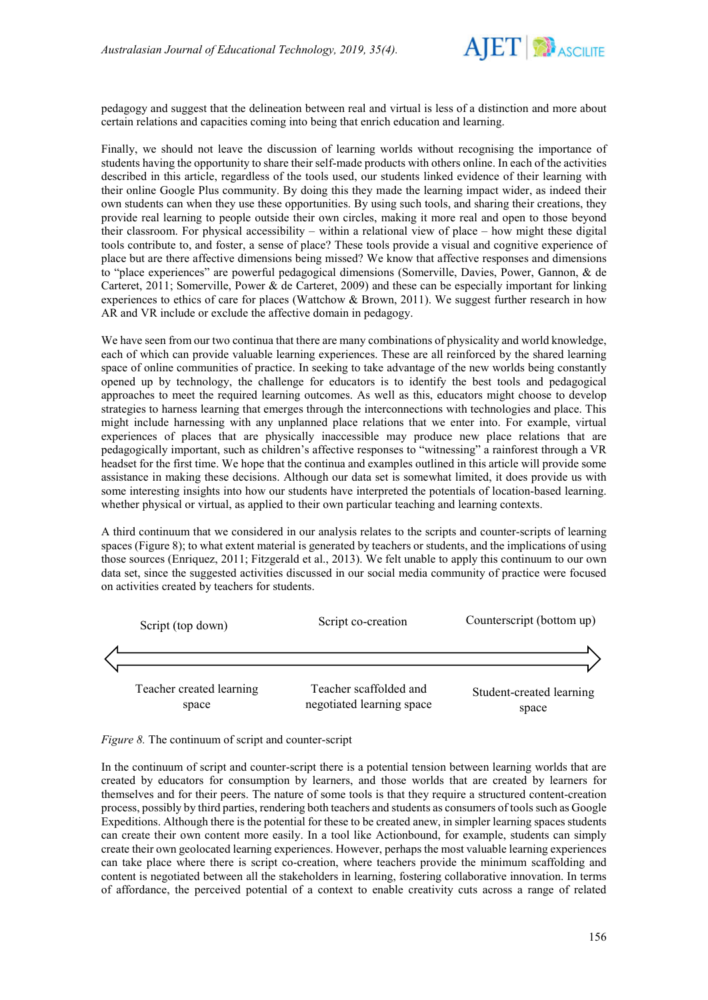

pedagogy and suggest that the delineation between real and virtual is less of a distinction and more about certain relations and capacities coming into being that enrich education and learning.

Finally, we should not leave the discussion of learning worlds without recognising the importance of students having the opportunity to share their self-made products with others online. In each of the activities described in this article, regardless of the tools used, our students linked evidence of their learning with their online Google Plus community. By doing this they made the learning impact wider, as indeed their own students can when they use these opportunities. By using such tools, and sharing their creations, they provide real learning to people outside their own circles, making it more real and open to those beyond their classroom. For physical accessibility – within a relational view of place – how might these digital tools contribute to, and foster, a sense of place? These tools provide a visual and cognitive experience of place but are there affective dimensions being missed? We know that affective responses and dimensions to "place experiences" are powerful pedagogical dimensions (Somerville, Davies, Power, Gannon, & de Carteret, 2011; Somerville, Power & de Carteret, 2009) and these can be especially important for linking experiences to ethics of care for places (Wattchow & Brown, 2011). We suggest further research in how AR and VR include or exclude the affective domain in pedagogy.

We have seen from our two continua that there are many combinations of physicality and world knowledge, each of which can provide valuable learning experiences. These are all reinforced by the shared learning space of online communities of practice. In seeking to take advantage of the new worlds being constantly opened up by technology, the challenge for educators is to identify the best tools and pedagogical approaches to meet the required learning outcomes. As well as this, educators might choose to develop strategies to harness learning that emerges through the interconnections with technologies and place. This might include harnessing with any unplanned place relations that we enter into. For example, virtual experiences of places that are physically inaccessible may produce new place relations that are pedagogically important, such as children's affective responses to "witnessing" a rainforest through a VR headset for the first time. We hope that the continua and examples outlined in this article will provide some assistance in making these decisions. Although our data set is somewhat limited, it does provide us with some interesting insights into how our students have interpreted the potentials of location-based learning. whether physical or virtual, as applied to their own particular teaching and learning contexts.

A third continuum that we considered in our analysis relates to the scripts and counter-scripts of learning spaces (Figure 8); to what extent material is generated by teachers or students, and the implications of using those sources (Enriquez, 2011; Fitzgerald et al., 2013). We felt unable to apply this continuum to our own data set, since the suggested activities discussed in our social media community of practice were focused on activities created by teachers for students.



*Figure 8.* The continuum of script and counter-script

In the continuum of script and counter-script there is a potential tension between learning worlds that are created by educators for consumption by learners, and those worlds that are created by learners for themselves and for their peers. The nature of some tools is that they require a structured content-creation process, possibly by third parties, rendering both teachers and students as consumers of tools such as Google Expeditions. Although there is the potential for these to be created anew, in simpler learning spaces students can create their own content more easily. In a tool like Actionbound, for example, students can simply create their own geolocated learning experiences. However, perhaps the most valuable learning experiences can take place where there is script co-creation, where teachers provide the minimum scaffolding and content is negotiated between all the stakeholders in learning, fostering collaborative innovation. In terms of affordance, the perceived potential of a context to enable creativity cuts across a range of related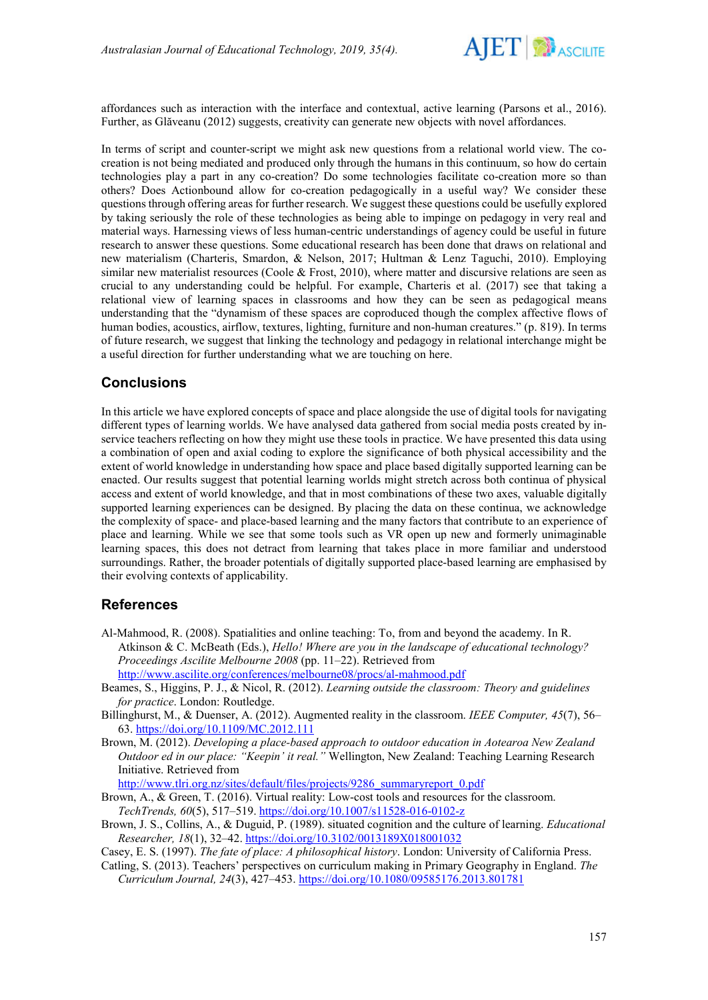

affordances such as interaction with the interface and contextual, active learning (Parsons et al., 2016). Further, as Glăveanu (2012) suggests, creativity can generate new objects with novel affordances.

In terms of script and counter-script we might ask new questions from a relational world view. The cocreation is not being mediated and produced only through the humans in this continuum, so how do certain technologies play a part in any co-creation? Do some technologies facilitate co-creation more so than others? Does Actionbound allow for co-creation pedagogically in a useful way? We consider these questions through offering areas for further research. We suggest these questions could be usefully explored by taking seriously the role of these technologies as being able to impinge on pedagogy in very real and material ways. Harnessing views of less human-centric understandings of agency could be useful in future research to answer these questions. Some educational research has been done that draws on relational and new materialism (Charteris, Smardon, & Nelson, 2017; Hultman & Lenz Taguchi, 2010). Employing similar new materialist resources (Coole & Frost, 2010), where matter and discursive relations are seen as crucial to any understanding could be helpful. For example, Charteris et al. (2017) see that taking a relational view of learning spaces in classrooms and how they can be seen as pedagogical means understanding that the "dynamism of these spaces are coproduced though the complex affective flows of human bodies, acoustics, airflow, textures, lighting, furniture and non-human creatures." (p. 819). In terms of future research, we suggest that linking the technology and pedagogy in relational interchange might be a useful direction for further understanding what we are touching on here.

## **Conclusions**

In this article we have explored concepts of space and place alongside the use of digital tools for navigating different types of learning worlds. We have analysed data gathered from social media posts created by inservice teachers reflecting on how they might use these tools in practice. We have presented this data using a combination of open and axial coding to explore the significance of both physical accessibility and the extent of world knowledge in understanding how space and place based digitally supported learning can be enacted. Our results suggest that potential learning worlds might stretch across both continua of physical access and extent of world knowledge, and that in most combinations of these two axes, valuable digitally supported learning experiences can be designed. By placing the data on these continua, we acknowledge the complexity of space- and place-based learning and the many factors that contribute to an experience of place and learning. While we see that some tools such as VR open up new and formerly unimaginable learning spaces, this does not detract from learning that takes place in more familiar and understood surroundings. Rather, the broader potentials of digitally supported place-based learning are emphasised by their evolving contexts of applicability.

## **References**

- Al-Mahmood, R. (2008). Spatialities and online teaching: To, from and beyond the academy. In R. Atkinson & C. McBeath (Eds.), *Hello! Where are you in the landscape of educational technology? Proceedings Ascilite Melbourne 2008* (pp. 11–22). Retrieved from <http://www.ascilite.org/conferences/melbourne08/procs/al-mahmood.pdf>
- Beames, S., Higgins, P. J., & Nicol, R. (2012). *Learning outside the classroom: Theory and guidelines for practice*. London: Routledge.
- Billinghurst, M., & Duenser, A. (2012). Augmented reality in the classroom. *IEEE Computer, 45*(7), 56– 63. <https://doi.org/10.1109/MC.2012.111>
- Brown, M. (2012). *Developing a place-based approach to outdoor education in Aotearoa New Zealand Outdoor ed in our place: "Keepin' it real."* Wellington, New Zealand: Teaching Learning Research Initiative. Retrieved from

[http://www.tlri.org.nz/sites/default/files/projects/9286\\_summaryreport\\_0.pdf](http://www.tlri.org.nz/sites/default/files/projects/9286_summaryreport_0.pdf)

- Brown, A., & Green, T. (2016). Virtual reality: Low-cost tools and resources for the classroom. *TechTrends, 60*(5), 517–519. <https://doi.org/10.1007/s11528-016-0102-z>
- Brown, J. S., Collins, A., & Duguid, P. (1989). situated cognition and the culture of learning. *Educational Researcher, 18*(1), 32–42. [https://doi.org/10.3102/0013189X018001032](https://doi.org/10.3102%2F0013189X018001032)
- Casey, E. S. (1997). *The fate of place: A philosophical history*. London: University of California Press.
- Catling, S. (2013). Teachers' perspectives on curriculum making in Primary Geography in England. *The Curriculum Journal, 24*(3), 427–453.<https://doi.org/10.1080/09585176.2013.801781>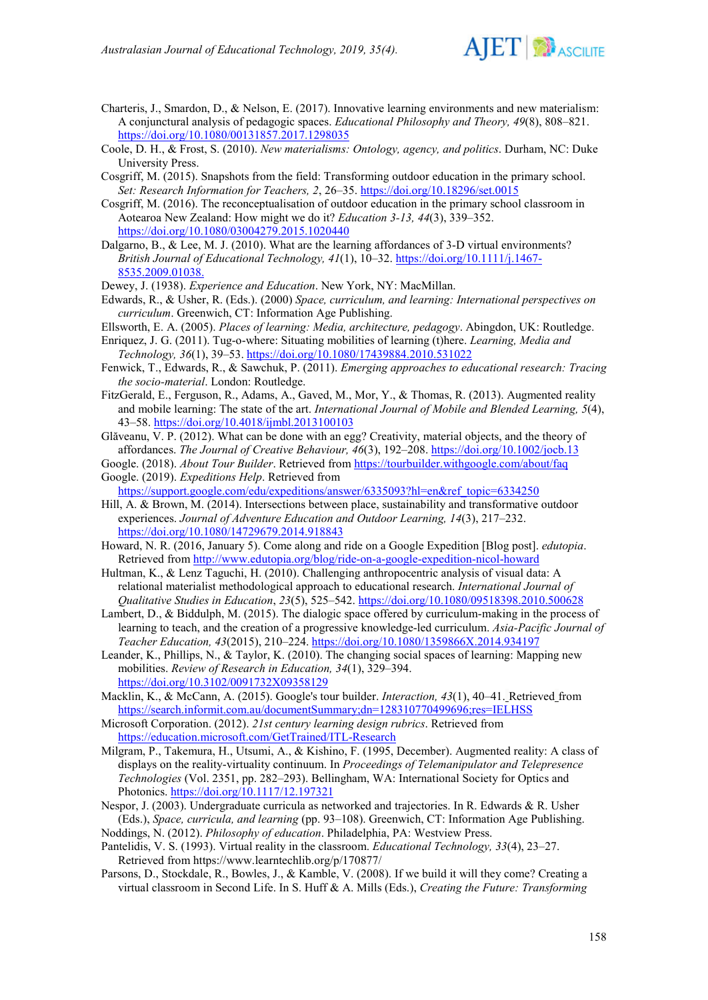

- Charteris, J., Smardon, D., & Nelson, E. (2017). Innovative learning environments and new materialism: A conjunctural analysis of pedagogic spaces. *Educational Philosophy and Theory, 49*(8), 808–821. <https://doi.org/10.1080/00131857.2017.1298035>
- Coole, D. H., & Frost, S. (2010). *New materialisms: Ontology, agency, and politics*. Durham, NC: Duke University Press.
- Cosgriff, M. (2015). Snapshots from the field: Transforming outdoor education in the primary school. *Set: Research Information for Teachers, 2*, 26–35. <https://doi.org/10.18296/set.0015>
- Cosgriff, M. (2016). The reconceptualisation of outdoor education in the primary school classroom in Aotearoa New Zealand: How might we do it? *Education 3-13, 44*(3), 339–352. <https://doi.org/10.1080/03004279.2015.1020440>
- Dalgarno, B., & Lee, M. J. (2010). What are the learning affordances of 3‐D virtual environments? *British Journal of Educational Technology, 41*(1), 10–32. [https://doi.org/10.1111/j.1467-](https://doi.org/10.1111/j.1467-8535.2009.01038.x) [8535.2009.01038.](https://doi.org/10.1111/j.1467-8535.2009.01038.x)
- Dewey, J. (1938). *Experience and Education*. New York, NY: MacMillan.
- Edwards, R., & Usher, R. (Eds.). (2000) *Space, curriculum, and learning: International perspectives on curriculum*. Greenwich, CT: Information Age Publishing.
- Ellsworth, E. A. (2005). *Places of learning: Media, architecture, pedagogy*. Abingdon, UK: Routledge. Enriquez, J. G. (2011). Tug-o-where: Situating mobilities of learning (t)here. *Learning, Media and*

*Technology, 36*(1), 39–53. <https://doi.org/10.1080/17439884.2010.531022>

- Fenwick, T., Edwards, R., & Sawchuk, P. (2011). *Emerging approaches to educational research: Tracing the socio-material*. London: Routledge.
- FitzGerald, E., Ferguson, R., Adams, A., Gaved, M., Mor, Y., & Thomas, R. (2013). Augmented reality and mobile learning: The state of the art. *International Journal of Mobile and Blended Learning, 5*(4), 43–58.<https://doi.org/10.4018/ijmbl.2013100103>
- Glăveanu, V. P. (2012). What can be done with an egg? Creativity, material objects, and the theory of affordances. *The Journal of Creative Behaviour, 46*(3), 192–208. <https://doi.org/10.1002/jocb.13>
- Google. (2018). *About Tour Builder*. Retrieved from<https://tourbuilder.withgoogle.com/about/faq> Google. (2019). *Expeditions Help*. Retrieved from

[https://support.google.com/edu/expeditions/answer/6335093?hl=en&ref\\_topic=6334250](https://support.google.com/edu/expeditions/answer/6335093?hl=en&ref_topic=6334250)

- Hill, A. & Brown, M. (2014). Intersections between place, sustainability and transformative outdoor experiences. *Journal of Adventure Education and Outdoor Learning, 14*(3), 217–232. <https://doi.org/10.1080/14729679.2014.918843>
- Howard, N. R. (2016, January 5). Come along and ride on a Google Expedition [Blog post]. *edutopia*. Retrieved fro[m http://www.edutopia.org/blog/ride-on-a-google-expedition-nicol-howard](http://www.edutopia.org/blog/ride-on-a-google-expedition-nicol-howard)
- Hultman, K., & Lenz Taguchi, H. (2010). Challenging anthropocentric analysis of visual data: A relational materialist methodological approach to educational research. *International Journal of Qualitative Studies in Education*, *23*(5), 525–542.<https://doi.org/10.1080/09518398.2010.500628>
- Lambert, D., & Biddulph, M. (2015). The dialogic space offered by curriculum-making in the process of learning to teach, and the creation of a progressive knowledge-led curriculum. *Asia-Pacific Journal of Teacher Education, 43*(2015), 210–224. <https://doi.org/10.1080/1359866X.2014.934197>
- Leander, K., Phillips, N., & Taylor, K. (2010). The changing social spaces of learning: Mapping new mobilities. *Review of Research in Education, 34*(1), 329–394. [https://doi.org/10.3102/0091732X09358129](https://doi.org/10.3102%2F0091732X09358129)
- Macklin, K., & McCann, A. (2015). Google's tour builder. *Interaction, 43*(1), 40–41. Retrieved from <https://search.informit.com.au/documentSummary;dn=128310770499696;res=IELHSS>
- Microsoft Corporation. (2012). *21st century learning design rubrics*. Retrieved from <https://education.microsoft.com/GetTrained/ITL-Research>
- Milgram, P., Takemura, H., Utsumi, A., & Kishino, F. (1995, December). Augmented reality: A class of displays on the reality-virtuality continuum. In *Proceedings of Telemanipulator and Telepresence Technologies* (Vol. 2351, pp. 282–293). Bellingham, WA: International Society for Optics and Photonics[. https://doi.org/10.1117/12.197321](https://doi.org/10.1117/12.197321)
- Nespor, J. (2003). Undergraduate curricula as networked and trajectories. In R. Edwards & R. Usher (Eds.), *Space, curricula, and learning* (pp. 93–108). Greenwich, CT: Information Age Publishing.
- Noddings, N. (2012). *Philosophy of education*. Philadelphia, PA: Westview Press.
- Pantelidis, V. S. (1993). Virtual reality in the classroom. *Educational Technology, 33*(4), 23–27. Retrieved fro[m https://www.learntechlib.org/p/170877/](https://www.learntechlib.org/p/170877/)
- Parsons, D., Stockdale, R., Bowles, J., & Kamble, V. (2008). If we build it will they come? Creating a virtual classroom in Second Life. In S. Huff & A. Mills (Eds.), *Creating the Future: Transforming*